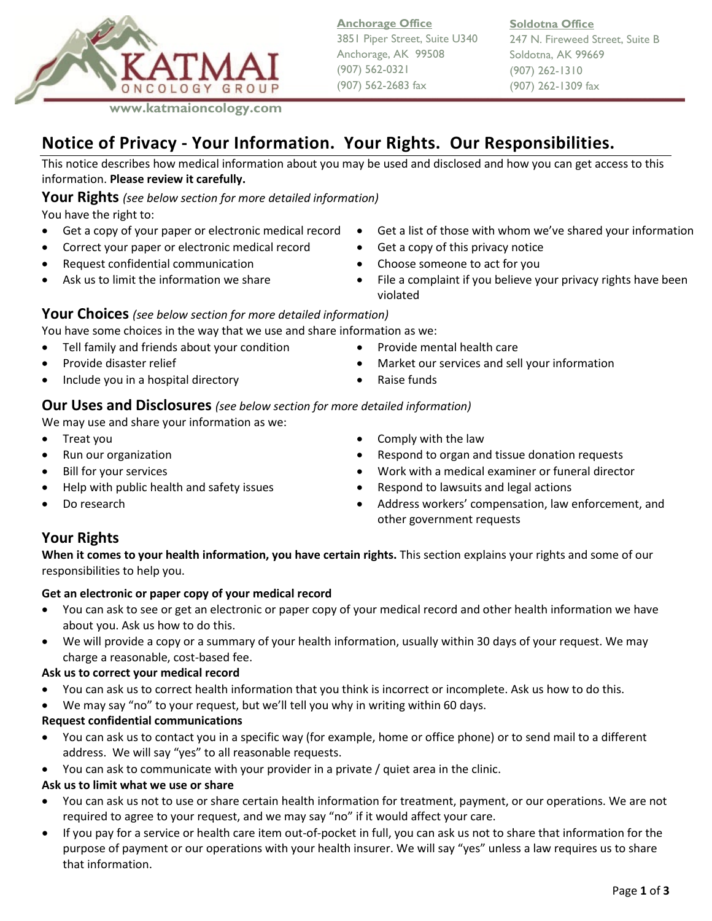

**Anchorage Office** 3851 Piper Street, Suite U340 Anchorage, AK 99508 (907) 562-0321 (907) 562-2683 fax

**Soldotna Office**

247 N. Fireweed Street, Suite B Soldotna, AK 99669 (907) 262-1310 (907) 262-1309 fax

# **Notice of Privacy - Your Information. Your Rights. Our Responsibilities.**

This notice describes how medical information about you may be used and disclosed and how you can get access to this information. **Please review it carefully.**

# **Your Rights** *(see below section for more detailed information)*

You have the right to:

- 
- Correct your paper or electronic medical record Get a copy of this privacy notice
- Request confidential communication Choose someone to act for you
- 
- Get a copy of your paper or electronic medical record Get a list of those with whom we've shared your information
	-
	-
	- Ask us to limit the information we share **•** File a complaint if you believe your privacy rights have been violated

# **Your Choices** *(see below section for more detailed information)*

You have some choices in the way that we use and share information as we:

- Tell family and friends about your condition Provide mental health care
- Provide disaster relief  **Conserverse in the Services •** Market our services and sell your information
- Include you in a hospital directory Raise funds

# **Our Uses and Disclosures** *(see below section for more detailed information)*

We may use and share your information as we:

- 
- 
- 
- 
- 
- Treat you  **Comply with the law** 
	- Run our organization  **Respond to organ and tissue donation requests**
- Bill for your services Work with a medical examiner or funeral director
	- Help with public health and safety issues Respond to lawsuits and legal actions
	- **Do research**  Address workers' compensation, law enforcement, and **b** Address workers' compensation, law enforcement, and other government requests

# **Your Rights**

**When it comes to your health information, you have certain rights.** This section explains your rights and some of our responsibilities to help you.

# **Get an electronic or paper copy of your medical record**

- You can ask to see or get an electronic or paper copy of your medical record and other health information we have about you. Ask us how to do this.
- We will provide a copy or a summary of your health information, usually within 30 days of your request. We may charge a reasonable, cost-based fee.

# **Ask us to correct your medical record**

- You can ask us to correct health information that you think is incorrect or incomplete. Ask us how to do this.
- We may say "no" to your request, but we'll tell you why in writing within 60 days.

# **Request confidential communications**

- You can ask us to contact you in a specific way (for example, home or office phone) or to send mail to a different address. We will say "yes" to all reasonable requests.
- You can ask to communicate with your provider in a private / quiet area in the clinic.

# **Ask us to limit what we use or share**

- You can ask us not to use or share certain health information for treatment, payment, or our operations. We are not required to agree to your request, and we may say "no" if it would affect your care.
- If you pay for a service or health care item out-of-pocket in full, you can ask us not to share that information for the purpose of payment or our operations with your health insurer. We will say "yes" unless a law requires us to share that information.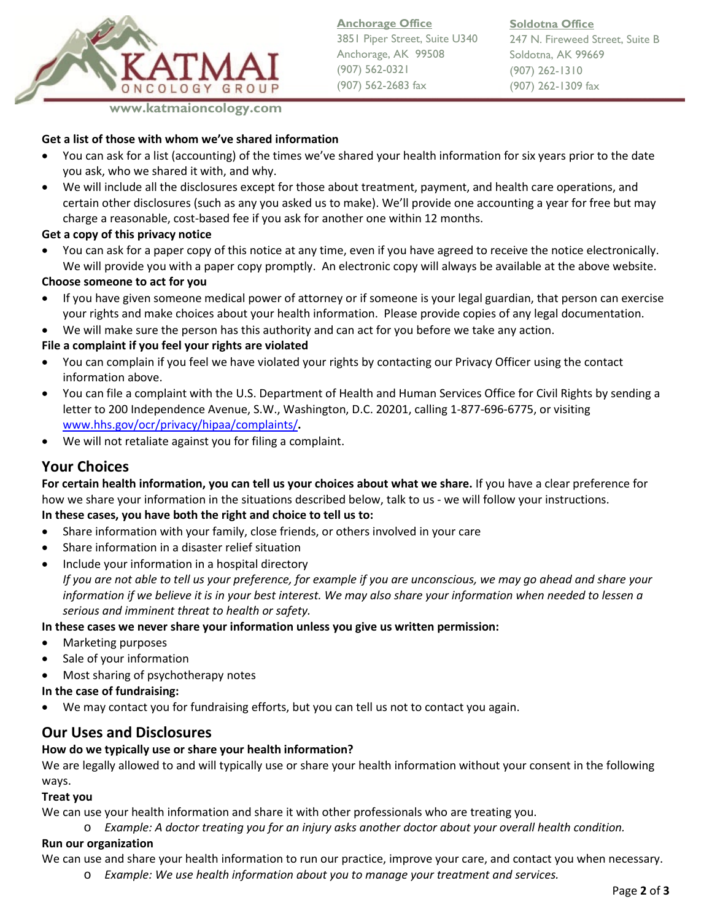

**Anchorage Office** 3851 Piper Street, Suite U340 Anchorage, AK 99508 (907) 562-0321 (907) 562-2683 fax

**Soldotna Office** 247 N. Fireweed Street, Suite B Soldotna, AK 99669 (907) 262-1310 (907) 262-1309 fax

#### **Get a list of those with whom we've shared information**

- You can ask for a list (accounting) of the times we've shared your health information for six years prior to the date you ask, who we shared it with, and why.
- We will include all the disclosures except for those about treatment, payment, and health care operations, and certain other disclosures (such as any you asked us to make). We'll provide one accounting a year for free but may charge a reasonable, cost-based fee if you ask for another one within 12 months.

#### **Get a copy of this privacy notice**

• You can ask for a paper copy of this notice at any time, even if you have agreed to receive the notice electronically. We will provide you with a paper copy promptly. An electronic copy will always be available at the above website.

#### **Choose someone to act for you**

- If you have given someone medical power of attorney or if someone is your legal guardian, that person can exercise your rights and make choices about your health information. Please provide copies of any legal documentation.
- We will make sure the person has this authority and can act for you before we take any action.

### **File a complaint if you feel your rights are violated**

- You can complain if you feel we have violated your rights by contacting our Privacy Officer using the contact information above.
- You can file a complaint with the U.S. Department of Health and Human Services Office for Civil Rights by sending a letter to 200 Independence Avenue, S.W., Washington, D.C. 20201, calling 1-877-696-6775, or visiting [www.hhs.gov/ocr/privacy/hipaa/complaints/](http://www.hhs.gov/ocr/privacy/hipaa/complaints/)**.**
- We will not retaliate against you for filing a complaint.

# **Your Choices**

**For certain health information, you can tell us your choices about what we share.** If you have a clear preference for how we share your information in the situations described below, talk to us - we will follow your instructions.

# **In these cases, you have both the right and choice to tell us to:**

- Share information with your family, close friends, or others involved in your care
- Share information in a disaster relief situation
- Include your information in a hospital directory

*If you are not able to tell us your preference, for example if you are unconscious, we may go ahead and share your information if we believe it is in your best interest. We may also share your information when needed to lessen a serious and imminent threat to health or safety.*

#### **In these cases we never share your information unless you give us written permission:**

- Marketing purposes
- Sale of your information
- Most sharing of psychotherapy notes

#### **In the case of fundraising:**

• We may contact you for fundraising efforts, but you can tell us not to contact you again.

# **Our Uses and Disclosures**

#### **How do we typically use or share your health information?**

We are legally allowed to and will typically use or share your health information without your consent in the following ways.

#### **Treat you**

We can use your health information and share it with other professionals who are treating you.

o *Example: A doctor treating you for an injury asks another doctor about your overall health condition.*

# **Run our organization**

We can use and share your health information to run our practice, improve your care, and contact you when necessary.

o *Example: We use health information about you to manage your treatment and services.*